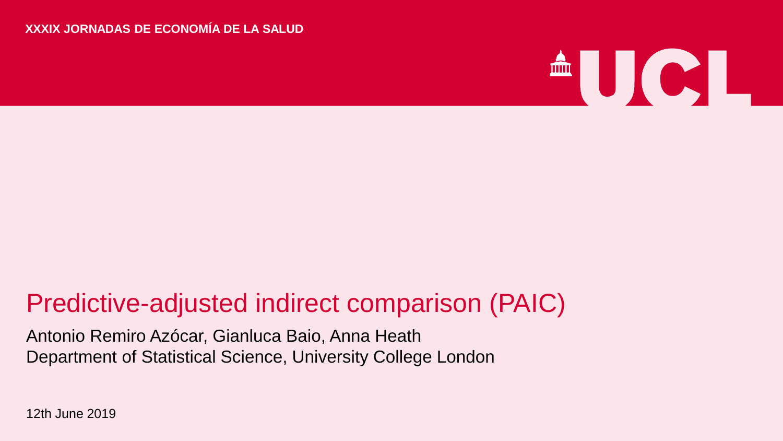#### **XXXIX JORNADAS DE ECONOMÍA DE LA SALUD**



#### Predictive-adjusted indirect comparison (PAIC)

Antonio Remiro Azócar, Gianluca Baio, Anna Heath Department of Statistical Science, University College London

12th June 2019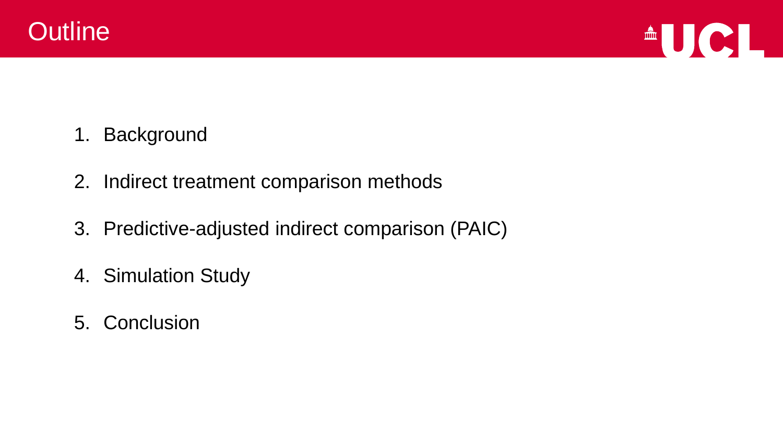



- 1. Background
- 2. Indirect treatment comparison methods
- 3. Predictive-adjusted indirect comparison (PAIC)
- 4. Simulation Study
- 5. Conclusion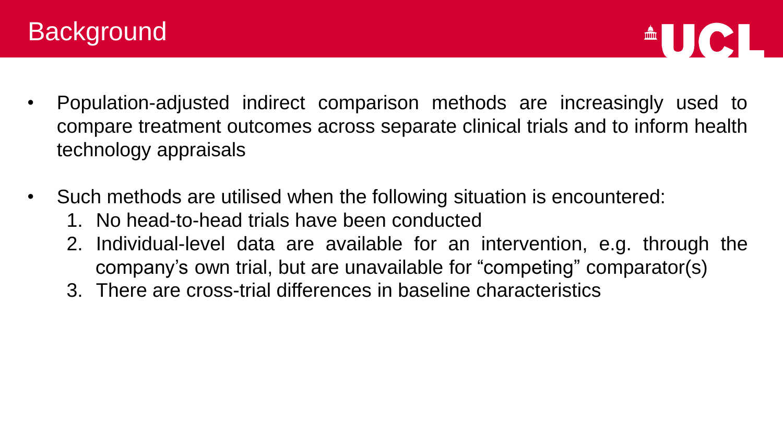

- Population-adjusted indirect comparison methods are increasingly used to compare treatment outcomes across separate clinical trials and to inform health technology appraisals
- Such methods are utilised when the following situation is encountered:
	- 1. No head-to-head trials have been conducted
	- 2. Individual-level data are available for an intervention, e.g. through the company's own trial, but are unavailable for "competing" comparator(s)
	- 3. There are cross-trial differences in baseline characteristics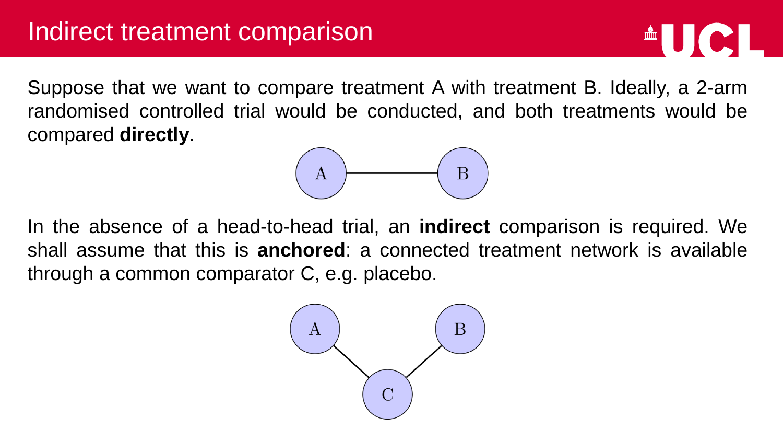$\triangle$   $\bigcup$   $\bigcirc$   $\bigcup$ 

Suppose that we want to compare treatment A with treatment B. Ideally, a 2-arm randomised controlled trial would be conducted, and both treatments would be compared **directly**.



In the absence of a head-to-head trial, an **indirect** comparison is required. We shall assume that this is **anchored**: a connected treatment network is available through a common comparator C, e.g. placebo.

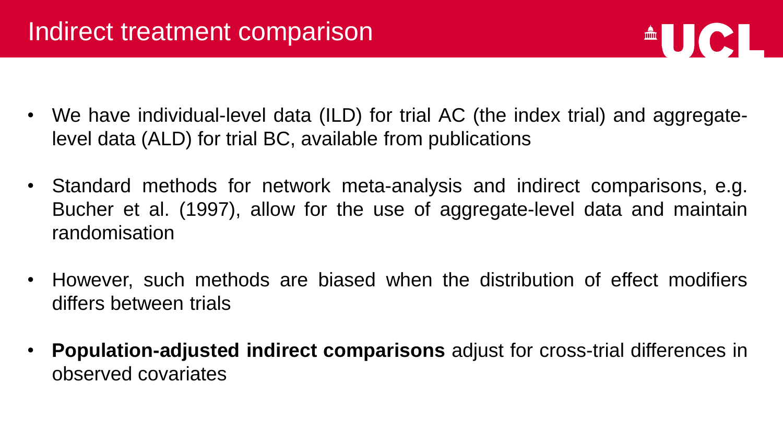

- We have individual-level data (ILD) for trial AC (the index trial) and aggregatelevel data (ALD) for trial BC, available from publications
- Standard methods for network meta-analysis and indirect comparisons, e.g. Bucher et al. (1997), allow for the use of aggregate-level data and maintain randomisation
- However, such methods are biased when the distribution of effect modifiers differs between trials
- **Population-adjusted indirect comparisons** adjust for cross-trial differences in observed covariates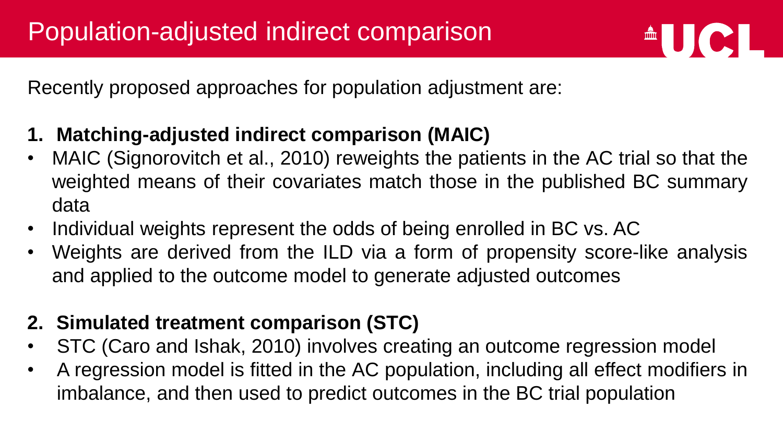

Recently proposed approaches for population adjustment are:

- **1. Matching-adjusted indirect comparison (MAIC)**
- MAIC (Signorovitch et al., 2010) reweights the patients in the AC trial so that the weighted means of their covariates match those in the published BC summary data
- Individual weights represent the odds of being enrolled in BC vs. AC
- Weights are derived from the ILD via a form of propensity score-like analysis and applied to the outcome model to generate adjusted outcomes

#### **2. Simulated treatment comparison (STC)**

- STC (Caro and Ishak, 2010) involves creating an outcome regression model
- A regression model is fitted in the AC population, including all effect modifiers in imbalance, and then used to predict outcomes in the BC trial population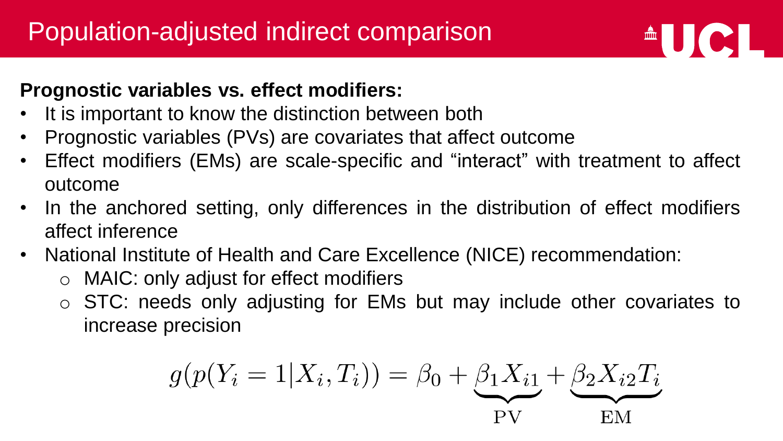#### **Prognostic variables vs. effect modifiers:**

- It is important to know the distinction between both
- Prognostic variables (PVs) are covariates that affect outcome
- Effect modifiers (EMs) are scale-specific and "interact" with treatment to affect outcome

 $\triangle$   $\bigcup$   $\bigcirc$   $\bigcup$ 

- In the anchored setting, only differences in the distribution of effect modifiers affect inference
- National Institute of Health and Care Excellence (NICE) recommendation:
	- o MAIC: only adjust for effect modifiers
	- o STC: needs only adjusting for EMs but may include other covariates to increase precision

$$
g(p(Y_i = 1 | X_i, T_i)) = \beta_0 + \underbrace{\beta_1 X_{i1}}_{PV} + \underbrace{\beta_2 X_{i2} T_i}_{EM}
$$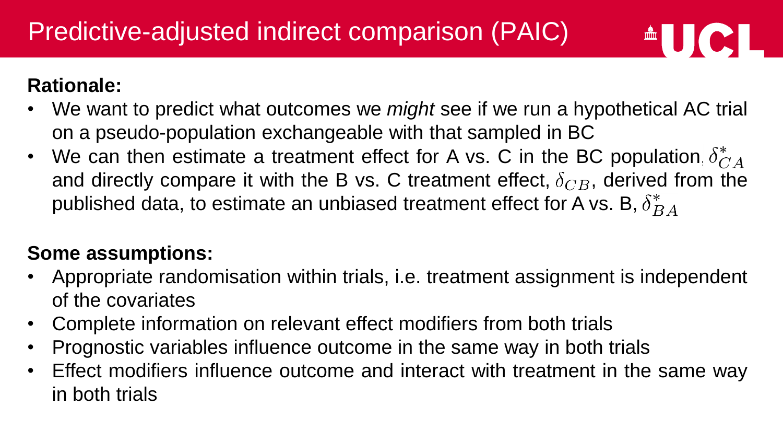#### **Rationale:**

• We want to predict what outcomes we *might* see if we run a hypothetical AC trial on a pseudo-population exchangeable with that sampled in BC

 $AUCL$ 

• We can then estimate a treatment effect for A vs. C in the BC population,  $\delta_{CA}^*$ and directly compare it with the B vs. C treatment effect,  $\delta_{CB}$ , derived from the published data, to estimate an unbiased treatment effect for A vs. B,  $\delta_{BA}^*$ 

#### **Some assumptions:**

- Appropriate randomisation within trials, i.e. treatment assignment is independent of the covariates
- Complete information on relevant effect modifiers from both trials
- Prognostic variables influence outcome in the same way in both trials
- Effect modifiers influence outcome and interact with treatment in the same way in both trials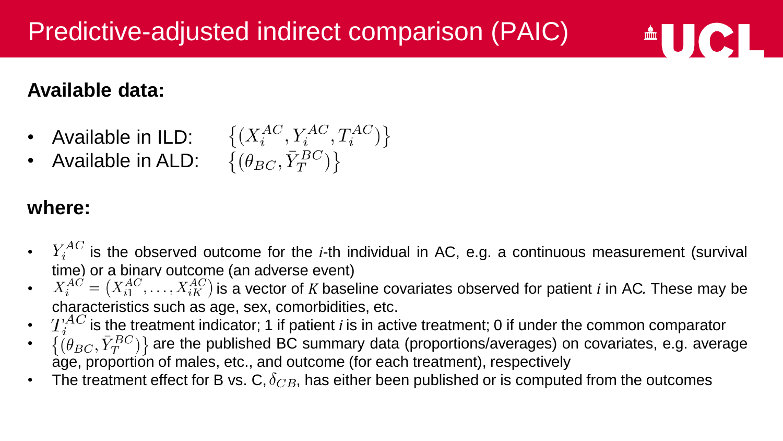#### **Available data:**



#### **where:**

 $\bullet$   $Y_i^{AC}$  is the observed outcome for the *i*-th individual in AC, e.g. a continuous measurement (survival time) or a binary outcome (an adverse event)

 $\triangle$   $\bigcup$   $\bigcirc$   $\bigcup$ 

- $X_i^{AC} = (X_{i1}^{AC}, \ldots, X_{iK}^{AC})$  is a vector of *K* baseline covariates observed for patient *i* in AC. These may be characteristics such as age, sex, comorbidities, etc.
- $T_i^{AC}$  is the treatment indicator; 1 if patient *i* is in active treatment; 0 if under the common comparator
- $\{\hat{p}_{BC}, \bar{Y}_T^{BC}\}\}$  are the published BC summary data (proportions/averages) on covariates, e.g. average age, proportion of males, etc., and outcome (for each treatment), respectively
- The treatment effect for B vs. C,  $\delta_{CB}$ , has either been published or is computed from the outcomes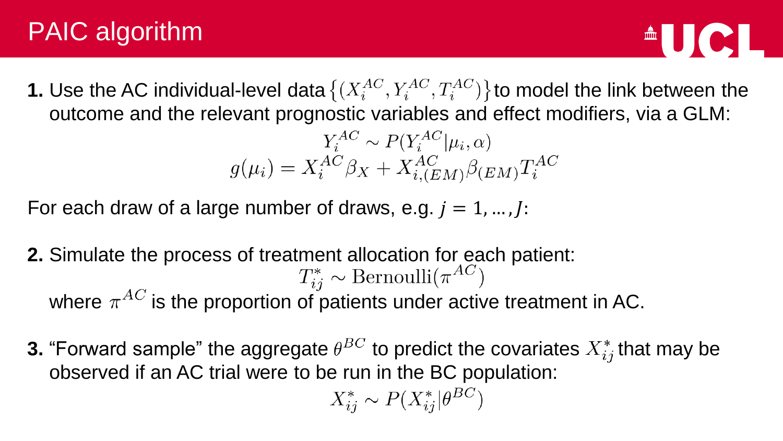# PAIC algorithm



**1.** Use the AC individual-level data  $\{(X_i^{AC}, Y_i^{AC}, T_i^{AC})\}$  to model the link between the outcome and the relevant prognostic variables and effect modifiers, via a GLM:

$$
Y_i^{AC} \sim P(Y_i^{AC}|\mu_i, \alpha)
$$

$$
g(\mu_i) = X_i^{AC} \beta_X + X_{i,(EM)}^{AC} \beta_{(EM)} T_i^{AC}
$$

For each draw of a large number of draws, e.g.  $i = 1, ..., l$ :

- **2.** Simulate the process of treatment allocation for each patient:<br> $T_{ij}^* \sim \text{Bernoulli}(\pi^{AC})$ where  $\pi^{AC}$  is the proportion of patients under active treatment in AC.
- **3.** "Forward sample" the aggregate  $\theta^{BC}$  to predict the covariates  $X_{ij}^*$  that may be observed if an AC trial were to be run in the BC population:

$$
X_{ij}^* \sim P(X_{ij}^* | \theta^{BC})
$$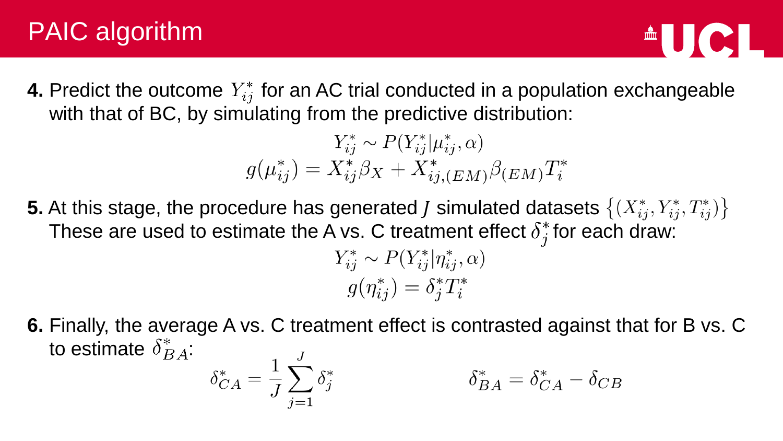# PAIC algorithm

**4.** Predict the outcome  $Y_{ij}^*$  for an AC trial conducted in a population exchangeable with that of BC, by simulating from the predictive distribution:

$$
Y_{ij}^* \sim P(Y_{ij}^* | \mu_{ij}^*, \alpha)
$$
  

$$
g(\mu_{ij}^*) = X_{ij}^* \beta_X + X_{ij, (EM)}^* \beta_{(EM)} T_i^*
$$

**5.** At this stage, the procedure has generated *J* simulated datasets  $\{(X_{ij}^*, Y_{ij}^*, T_{ij}^*)\}$ These are used to estimate the A vs. C treatment effect  $\delta_i^*$  for each draw:

$$
Y_{ij}^* \sim P(Y_{ij}^* | \eta_{ij}^*, \alpha)
$$
  

$$
g(\eta_{ij}^*) = \delta_j^* T_i^*
$$

**6.** Finally, the average A vs. C treatment effect is contrasted against that for B vs. C to estimate  $\delta_{BA}^*$ :  $J_{-}$ 

$$
\delta_{CA}^* = \frac{1}{J} \sum_{j=1} \delta_j^*
$$

$$
\delta_{BA}^* = \delta_{CA}^* - \delta_{CB}
$$

 $\blacksquare$   $\blacksquare$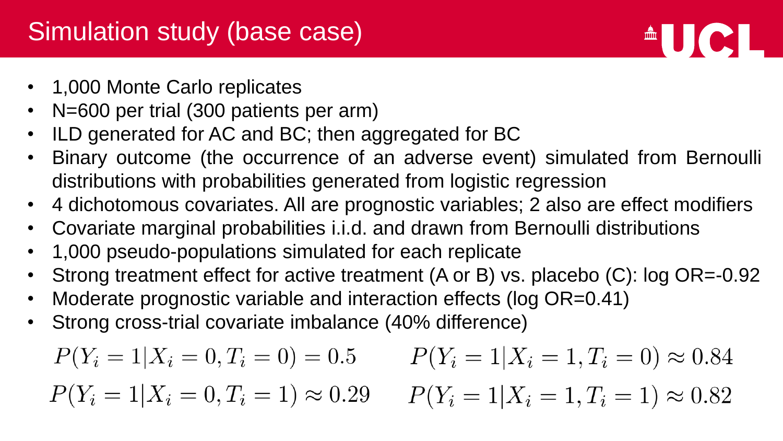### Simulation study (base case)

- 1,000 Monte Carlo replicates
- N=600 per trial (300 patients per arm)
- ILD generated for AC and BC; then aggregated for BC
- Binary outcome (the occurrence of an adverse event) simulated from Bernoulli distributions with probabilities generated from logistic regression

 $\triangle$   $\blacksquare$ 

- 4 dichotomous covariates. All are prognostic variables; 2 also are effect modifiers
- Covariate marginal probabilities i.i.d. and drawn from Bernoulli distributions
- 1,000 pseudo-populations simulated for each replicate
- Strong treatment effect for active treatment (A or B) vs. placebo (C): log OR=-0.92
- Moderate prognostic variable and interaction effects (log OR=0.41)
- Strong cross-trial covariate imbalance (40% difference)

$$
P(Y_i = 1 | X_i = 0, T_i = 0) = 0.5 \qquad P(Y_i = 1 | X_i = 1, T_i = 0) \approx 0.84
$$
  

$$
P(Y_i = 1 | X_i = 0, T_i = 1) \approx 0.29 \qquad P(Y_i = 1 | X_i = 1, T_i = 1) \approx 0.82
$$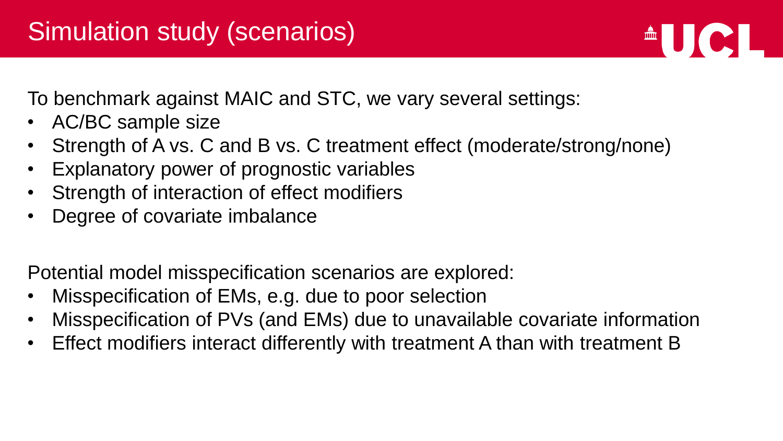To benchmark against MAIC and STC, we vary several settings:

- AC/BC sample size
- Strength of A vs. C and B vs. C treatment effect (moderate/strong/none)

 $\triangle$   $\bigcup$   $\bigcirc$   $\bigcup$ 

- Explanatory power of prognostic variables
- Strength of interaction of effect modifiers
- Degree of covariate imbalance

Potential model misspecification scenarios are explored:

- Misspecification of EMs, e.g. due to poor selection
- Misspecification of PVs (and EMs) due to unavailable covariate information
- Effect modifiers interact differently with treatment A than with treatment B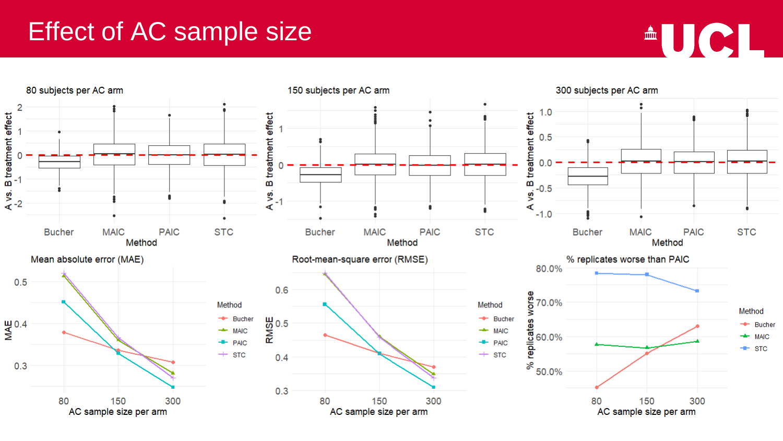#### Effect of AC sample size



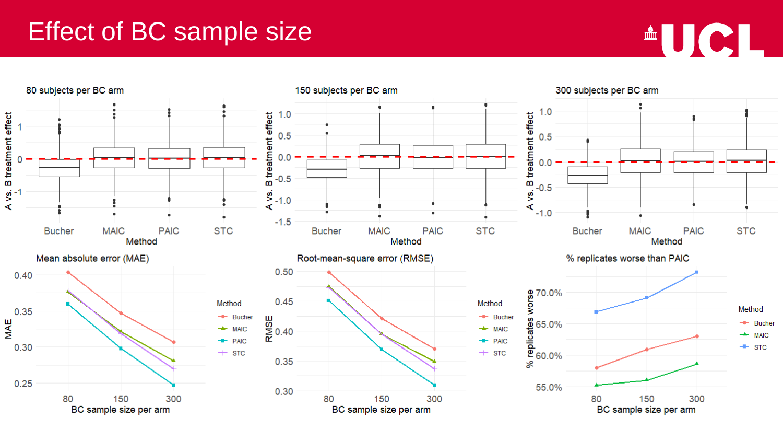#### Effect of BC sample size



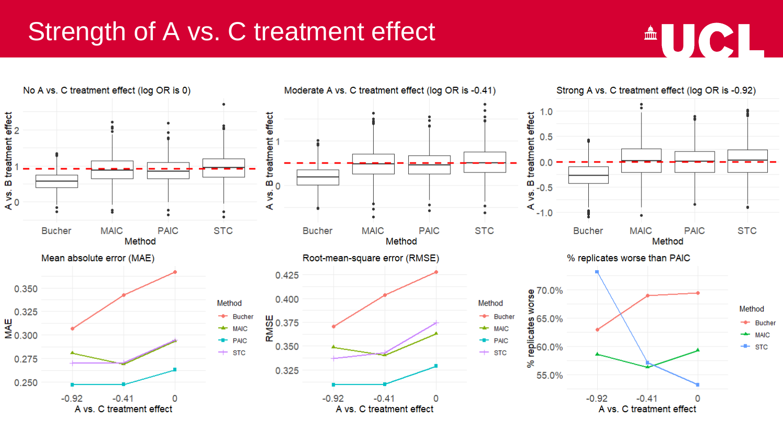## Strength of A vs. C treatment effect



<sup>A</sup>UCL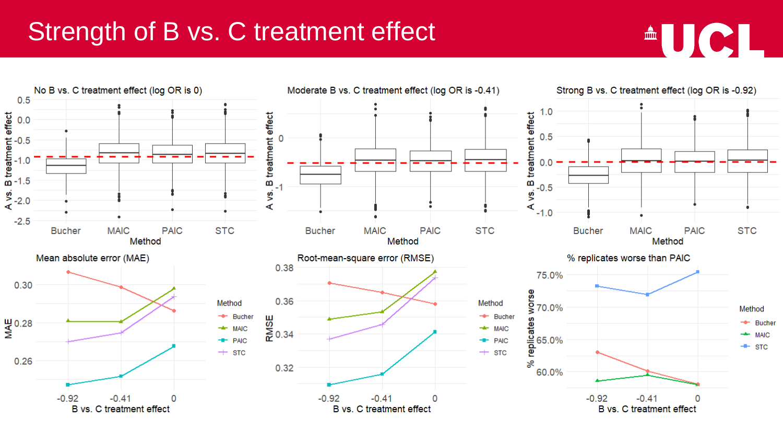### Strength of B vs. C treatment effect



 $\triangle$ UCL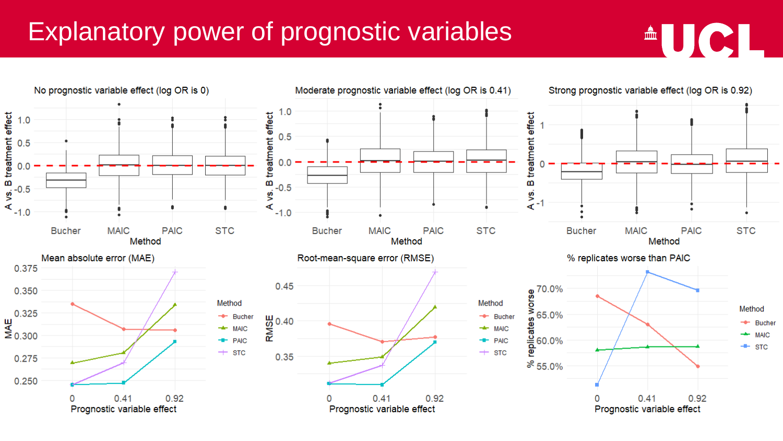# Explanatory power of prognostic variables



<sup>A</sup>UCL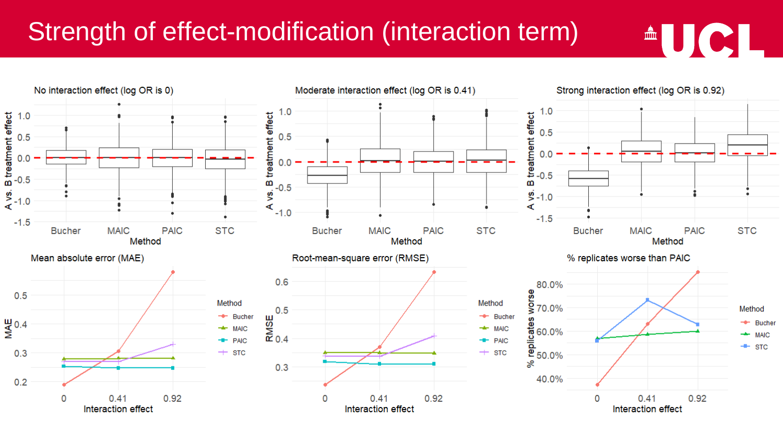## Strength of effect-modification (interaction term)



<sup>A</sup>UCL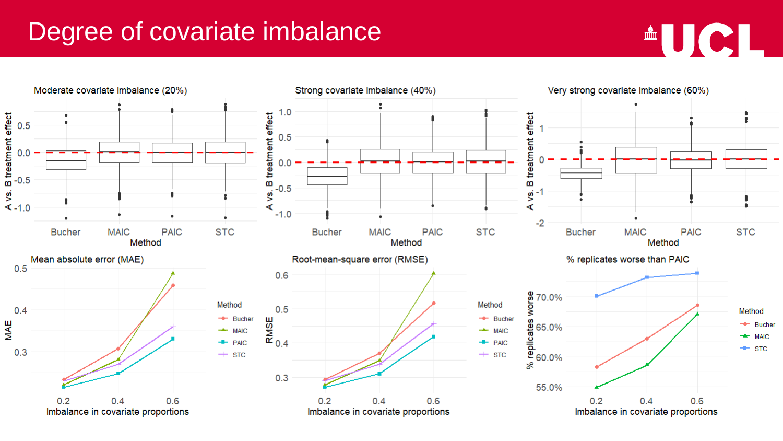## Degree of covariate imbalance



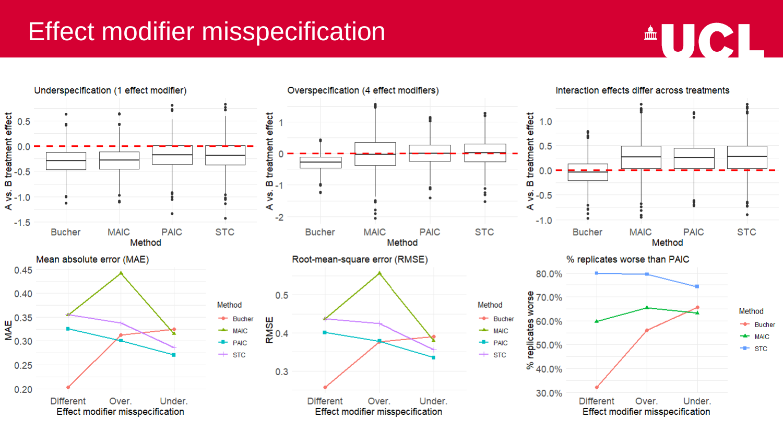### Effect modifier misspecification



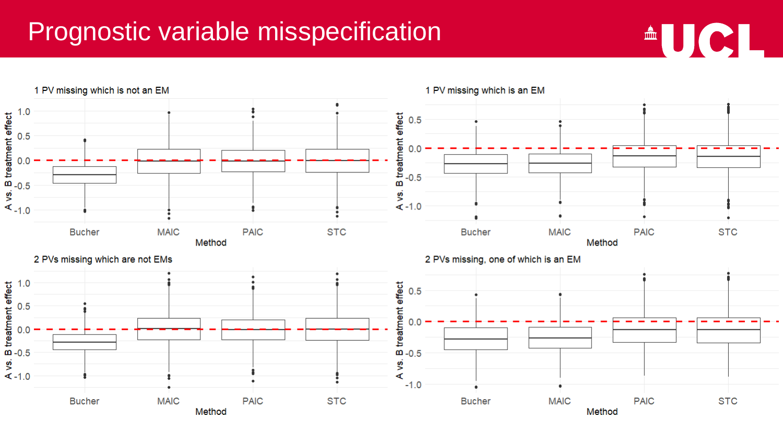#### Prognostic variable misspecification



 $AUCH$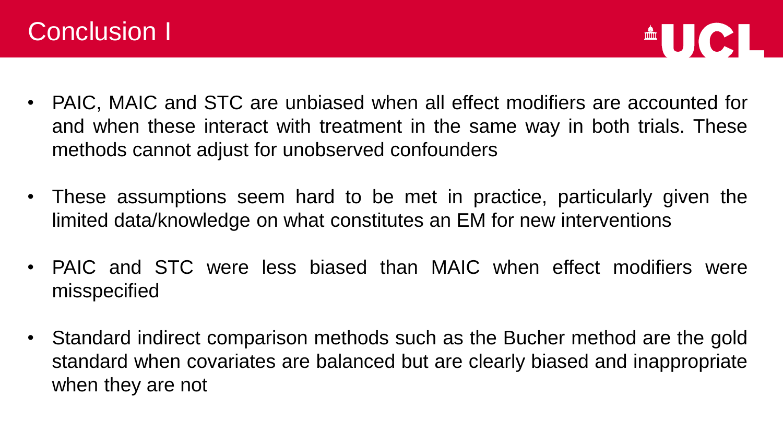



- PAIC, MAIC and STC are unbiased when all effect modifiers are accounted for and when these interact with treatment in the same way in both trials. These methods cannot adjust for unobserved confounders
- These assumptions seem hard to be met in practice, particularly given the limited data/knowledge on what constitutes an EM for new interventions
- PAIC and STC were less biased than MAIC when effect modifiers were misspecified
- Standard indirect comparison methods such as the Bucher method are the gold standard when covariates are balanced but are clearly biased and inappropriate when they are not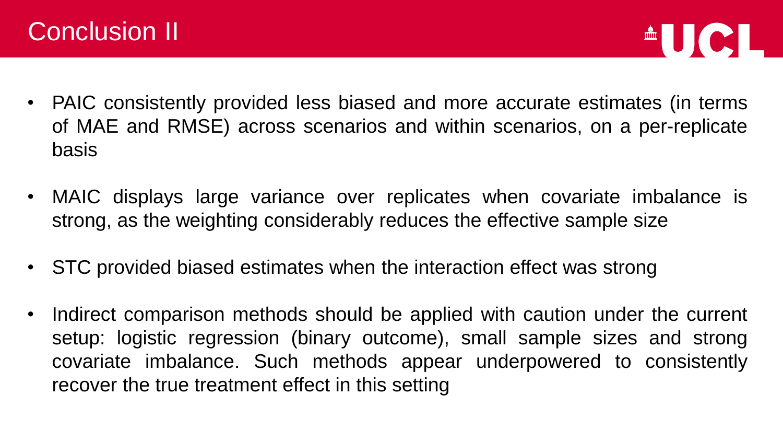

- PAIC consistently provided less biased and more accurate estimates (in terms of MAE and RMSE) across scenarios and within scenarios, on a per-replicate basis
- MAIC displays large variance over replicates when covariate imbalance is strong, as the weighting considerably reduces the effective sample size
- STC provided biased estimates when the interaction effect was strong
- Indirect comparison methods should be applied with caution under the current setup: logistic regression (binary outcome), small sample sizes and strong covariate imbalance. Such methods appear underpowered to consistently recover the true treatment effect in this setting